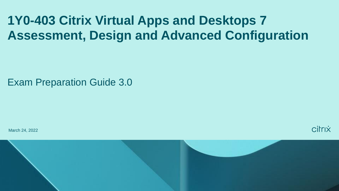# **1Y0-403 Citrix Virtual Apps and Desktops 7 Assessment, Design and Advanced Configuration**

Exam Preparation Guide 3.0

March 24, 2022

citrix

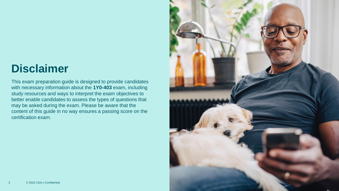# **Disclaimer**

This exam preparation guide is designed to provide candidates with necessary information about the **1Y0-403** exam, including study resources and ways to interpret the exam objectives to better enable candidates to assess the types of questions that may be asked during the exam. Please be aware that the content of this guide in no way ensures a passing score on the certification exam.

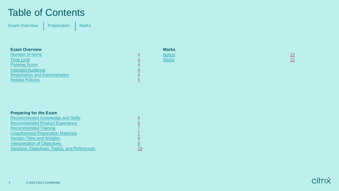### Table of Contents

[Exam Overview](#page-3-0) | [Preparation](#page-5-0) | Marks

#### **Exam Overview**

[Number of Items](#page-3-0) [Time Limit](#page-3-0) **[Passing Score](#page-3-0)** [Intended Audience](#page-3-0) [Registration and Administration](#page-3-0) **[Retake Policies](#page-4-0)** 

| <b>Preparing for the Exam</b>                       |                 |
|-----------------------------------------------------|-----------------|
| <b>Recommended Knowledge and Skills</b>             | 6               |
| <b>Recommended Product Experience</b>               | $\underline{6}$ |
| <b>Recommended Training</b>                         |                 |
| <b>Unauthorized Preparation Materials</b>           |                 |
| <b>Section Titles and Weights</b>                   | 8               |
| <b>Interpretation of Objectives</b>                 | <u>9</u>        |
| <b>Sections, Objectives, Topics, and References</b> | 10              |
|                                                     |                 |

**Marks**

Notice [22](#page-21-0) April 2014 - Andre Stern Andre Stern Andre Stern Andre Stern Andre Stern <mark>22</mark> Marks [22](#page-21-0) **Marks** 22 **Marks** 22 **Marks** 22 **Marks** 22 Marks 22 Marks 22 Marks 22 Marks 22 Marks 22 Marks 22 Marks 22

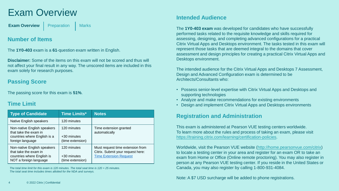## <span id="page-3-0"></span>Exam Overview

**[Exam Overview](#page-3-0)** | [Preparation](#page-5-0) | Marks

### **Number of Items**

The **1Y0-403** exam is a **61**-question exam written in English.

**Disclaimer:** Some of the items on this exam will not be scored and thus will not affect your final result in any way. The unscored items are included in this exam solely for research purposes.

### **Passing Score**

The passing score for this exam is **51%**.

### **Time Limit**

| <b>Type of Candidate</b>                                                                                     | <b>Time Limits*</b>                            | <b>Notes</b>                                                                                           |
|--------------------------------------------------------------------------------------------------------------|------------------------------------------------|--------------------------------------------------------------------------------------------------------|
| Native English speakers                                                                                      | 120 minutes                                    |                                                                                                        |
| Non-native English speakers<br>that take the exam in<br>countries where English is a<br>foreign language     | 120 minutes<br>+30 minutes<br>(time extension) | Time extension granted<br>automatically                                                                |
| Non-native English speakers<br>that take the exam in<br>countries where English is<br>NOT a foreign language | 120 minutes<br>+30 minutes<br>(time extension) | Must request time extension from<br>Citrix. Submit your request here:<br><b>Time Extension Request</b> |

*The total time limit for this exam is 120 minutes. The total seat time is 120 + 25 minutes. The total seat time includes times allotted for the NDA and surveys.* 

### **Intended Audience**

The **1Y0-403 exam** was developed for candidates who have successfully performed tasks related to the requisite knowledge and skills required for assessing, designing, and completing advanced configurations for a practical Citrix Virtual Apps and Desktops environment. The tasks tested in this exam will represent those tasks that are deemed integral to the domains that cover assessment and design principles for creating a practical Citrix Virtual Apps and Desktops environment.

The intended audience for the Citrix Virtual Apps and Desktops 7 Assessment, Design and Advanced Configuration exam is determined to be Architects/Consultants who:

- Possess senior-level expertise with Citrix Virtual Apps and Desktops and supporting technologies
- Analyze and make recommendations for existing environments
- Design and implement Citrix Virtual Apps and Desktops environments

### **Registration and Administration**

This exam is administered at Pearson VUE testing centers worldwide. To learn more about the rules and process of taking an exam, please visit [https://training.citrix.com/learning/certification-policies.](https://training.citrix.com/learning/certification-policies)

Worldwide, visit the Pearson VUE website ([http://home.pearsonvue.com/citrix\)](http://home.pearsonvue.com/citrix) to locate a testing center in your area and register for an exam OR to take an exam from Home or Office (Online remote proctoring). You may also register in person at any Pearson VUE testing center. If you reside in the United States or Canada, you may also register by calling 1-800-931-4084.

Note: A \$7 USD surcharge will be added to phone registrations.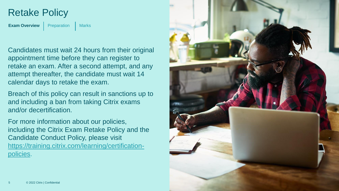### <span id="page-4-0"></span>Retake Policy

**[Exam Overview](#page-3-0)** [Preparation](#page-5-0) | Marks

Candidates must wait 24 hours from their original appointment time before they can register to retake an exam. After a second attempt, and any attempt thereafter, the candidate must wait 14 calendar days to retake the exam.

Breach of this policy can result in sanctions up to and including a ban from taking Citrix exams and/or decertification.

For more information about our policies, including the Citrix Exam Retake Policy and the Candidate Conduct Policy, please visit [https://training.citrix.com/learning/certification](https://training.citrix.com/learning/certification-policies) policies.

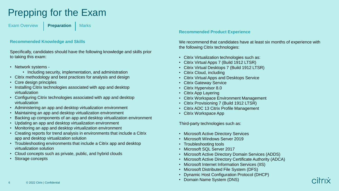# <span id="page-5-0"></span>Prepping for the Exam

[Exam Overview](#page-3-0) **[Preparation](#page-5-0)** Marks

#### **Recommended Knowledge and Skills**

Specifically, candidates should have the following knowledge and skills prior to taking this exam:

- Network systems
	- Including security, implementation, and administration
- Citrix methodology and best practices for analysis and design
- Core design principles
- Installing Citrix technologies associated with app and desktop virtualization
- Configuring Citrix technologies associated with app and desktop virtualization
- Administering an app and desktop virtualization environment
- Maintaining an app and desktop virtualization environment
- Backing up components of an app and desktop virtualization environment
- Updating an app and desktop virtualization environment
- Monitoring an app and desktop virtualization environment
- Creating reports for trend analysis in environments that include a Citrix app and desktop virtualization solution
- Troubleshooting environments that include a Citrix app and desktop virtualization solution
- Cloud concepts such as private, public, and hybrid clouds
- Storage concepts

#### **Recommended Product Experience**

We recommend that candidates have at least six months of experience with the following Citrix technologies:

- Citrix Virtualization technologies such as:
- Citrix Virtual Apps 7 (Build 1912 LTSR)
- Citrix Virtual Desktops 7 (Build 1912 LTSR)
- Citrix Cloud, including
- Citrix Virtual Apps and Desktops Service
- **Citrix Gateway Service**
- Citrix Hypervisor 8.0
- Citrix App Layering
- Citrix Workspace Environment Management
- Citrix Provisioning 7 (Build 1912 LTSR)
- Citrix ADC 13 Citrix Profile Management
- Citrix Workspace App

Third-party technologies such as:

- Microsoft Active Directory Services
- Microsoft Windows Server 2019
- Troubleshooting tools
- Microsoft SQL Server 2017
- Microsoft Active Directory Domain Services (ADDS)
- Microsoft Active Directory Certificate Authority (ADCA)
- Microsoft Internet Information Services (IIS)
- Microsoft Distributed File System (DFS)
- Dynamic Host Configuration Protocol (DHCP)
- Domain Name System (DNS)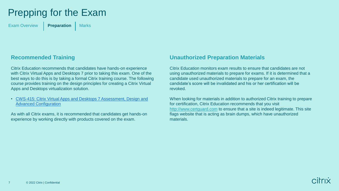# <span id="page-6-0"></span>Prepping for the Exam

[Exam Overview](#page-3-0) **[Preparation](#page-5-0)** Marks

### **Recommended Training**

Citrix Education recommends that candidates have hands-on experience with Citrix Virtual Apps and Desktops 7 prior to taking this exam. One of the best ways to do this is by taking a formal Citrix training course. The following course provides training on the design principles for creating a Citrix Virtual Apps and Desktops virtualization solution.

• [CWS-415: Citrix Virtual Apps and Desktops 7 Assessment, Design and](https://training.citrix.com/learning/course?courseId=2018) Advanced Configuration

As with all Citrix exams, it is recommended that candidates get hands-on experience by working directly with products covered on the exam.

#### **Unauthorized Preparation Materials**

Citrix Education monitors exam results to ensure that candidates are not using unauthorized materials to prepare for exams. If it is determined that a candidate used unauthorized materials to prepare for an exam, the candidate's score will be invalidated and his or her certification will be revoked.

When looking for materials in addition to authorized Citrix training to prepare for certification, Citrix Education recommends that you visit <http://www.certguard.com> to ensure that a site is indeed legitimate. This site flags website that is acting as brain dumps, which have unauthorized materials.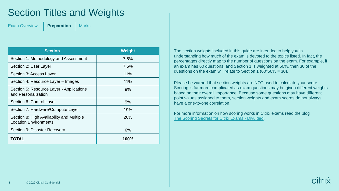## <span id="page-7-0"></span>Section Titles and Weights

[Exam Overview](#page-3-0) **[Preparation](#page-5-0)** Marks

| <b>Section</b>                                                            | <b>Weight</b> |
|---------------------------------------------------------------------------|---------------|
| Section 1: Methodology and Assessment                                     | 7.5%          |
| Section 2: User Layer                                                     | 7.5%          |
| Section 3: Access Layer                                                   | 11%           |
| Section 4: Resource Layer - Images                                        | 11%           |
| Section 5: Resource Layer - Applications<br>and Personalization           | 9%            |
| Section 6: Control Layer                                                  | 9%            |
| Section 7: Hardware/Compute Layer                                         | 19%           |
| Section 8: High Availability and Multiple<br><b>Location Environments</b> | <b>20%</b>    |
| Section 9: Disaster Recovery                                              | 6%            |
| TOTAL                                                                     | 100%          |

The section weights included in this guide are intended to help you in understanding how much of the exam is devoted to the topics listed. In fact, the percentages directly map to the number of questions on the exam. For example, if an exam has 60 questions, and Section 1 is weighted at 50%, then 30 of the questions on the exam will relate to Section 1 (60\*50% = 30).

Please be warned that section weights are NOT used to calculate your score. Scoring is far more complicated as exam questions may be given different weights based on their overall importance. Because some questions may have different point values assigned to them, section weights and exam scores do not always have a one-to-one correlation.

For more information on how scoring works in Citrix exams read the blog [The Scoring Secrets for Citrix Exams -](https://www.citrix.com/blogs/2009/08/25/the-scoring-secrets-for-citrix-exams-divulged/) Divulged.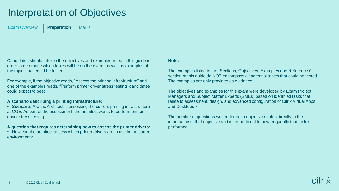## <span id="page-8-0"></span>Interpretation of Objectives

[Exam Overview](#page-3-0) | **[Preparation](#page-5-0)** | Marks

Candidates should refer to the objectives and examples listed in this guide in order to determine which topics will be on the exam, as well as examples of the topics that could be tested.

For example, if the objective reads, "Assess the printing infrastructure" and one of the examples reads, "Perform printer driver stress testing" candidates could expect to see:

#### **A scenario describing a printing infrastructure:**

• **Scenario:** A Citrix Architect is assessing the current printing infrastructure at CGE. As part of the assessment, the architect wants to perform printer driver stress testing.

#### **A question that requires determining how to assess the printer drivers:**

• How can the architect assess which printer drivers are in use in the current environment?

#### **Note:**

The examples listed in the "Sections, Objectives, Examples and References" section of this guide do NOT encompass all potential topics that could be tested. The examples are only provided as guidance.

The objectives and examples for this exam were developed by Exam Project Managers and Subject Matter Experts (SMEs) based on identified tasks that relate to assessment, design, and advanced configuration of Citrix Virtual Apps and Desktops 7.

The number of questions written for each objective relates directly to the importance of that objective and is proportional to how frequently that task is performed.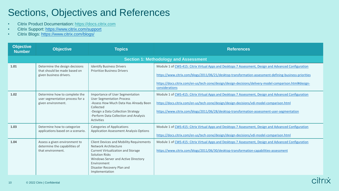# <span id="page-9-0"></span>Sections, Objectives and References

- Citrix Product Documentation: [https://docs.citrix.com](http://docs.citrix.com/)
- Citrix Support:<https://www.citrix.com/support>
- Citrix Blogs: <https://www.citrix.com/blogs/>

| <b>Objective</b><br><b>Number</b> | <b>Objective</b>                                                                          | <b>Topics</b>                                                                                                                                                                                                                                       | <b>References</b>                                                                                                                                                                                                                                                                                                                           |
|-----------------------------------|-------------------------------------------------------------------------------------------|-----------------------------------------------------------------------------------------------------------------------------------------------------------------------------------------------------------------------------------------------------|---------------------------------------------------------------------------------------------------------------------------------------------------------------------------------------------------------------------------------------------------------------------------------------------------------------------------------------------|
|                                   |                                                                                           |                                                                                                                                                                                                                                                     | <b>Section 1: Methodology and Assessment</b>                                                                                                                                                                                                                                                                                                |
| 1.01                              | Determine the design decisions<br>that should be made based on<br>given business drivers. | <b>Identify Business Drivers</b><br><b>Prioritize Business Drivers</b>                                                                                                                                                                              | Module 1 of CWS-415: Citrix Virtual Apps and Desktops 7 Assessment, Design and Advanced Configuration<br>https://www.citrix.com/blogs/2011/06/21/desktop-transformation-assessment-defining-business-priorities<br>https://docs.citrix.com/en-us/tech-zone/design/design-decisions/delivery-model-comparison.html#design-<br>considerations |
| 1.02                              | Determine how to complete the<br>user segmentation process for a<br>given environment.    | Importance of User Segmentation<br><b>User Segmentation Process</b><br>-Assess How Much Data Has Already Been<br>Collected<br>-Design a Data Collection Strategy<br>-Perform Data Collection and Analysis<br>Activities                             | Module 1 of CWS-415: Citrix Virtual Apps and Desktops 7 Assessment, Design and Advanced Configuration<br>https://docs.citrix.com/en-us/tech-zone/design/design-decisions/vdi-model-comparison.html<br>https://www.citrix.com/blogs/2011/06/28/desktop-transformation-assessment-user-segmentation                                           |
| 1.03                              | Determine how to categorize<br>applications based on a scenario.                          | <b>Categories of Applications</b><br><b>Application Assessment Analysis Options</b>                                                                                                                                                                 | Module 1 of CWS-415: Citrix Virtual Apps and Desktops 7 Assessment, Design and Advanced Configuration<br>https://docs.citrix.com/en-us/tech-zone/design/design-decisions/vdi-model-comparison.html                                                                                                                                          |
| 1.04                              | Assess a given environment to<br>determine the capabilities of<br>that environment.       | <b>Client Devices and Mobility Requirements</b><br>Network Architecture<br><b>Current Virtualization and Storage</b><br><b>Solution Risks</b><br>Windows Server and Active Directory<br>Environment<br>Disaster Recovery Plan and<br>Implementation | Module 1 of CWS-415: Citrix Virtual Apps and Desktops 7 Assessment, Design and Advanced Configuration<br>https://www.citrix.com/blogs/2011/06/30/desktop-transformation-capabilities-assessment                                                                                                                                             |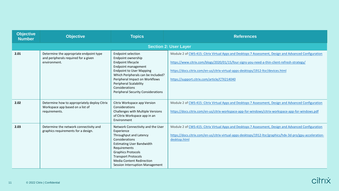| <b>Objective</b><br><b>Number</b> | <b>Objective</b>                                                                                  | <b>Topics</b>                                                                                                                                                                                                                                                                                           | <b>References</b>                                                                                                                                                                                                                                                                                                                         |
|-----------------------------------|---------------------------------------------------------------------------------------------------|---------------------------------------------------------------------------------------------------------------------------------------------------------------------------------------------------------------------------------------------------------------------------------------------------------|-------------------------------------------------------------------------------------------------------------------------------------------------------------------------------------------------------------------------------------------------------------------------------------------------------------------------------------------|
|                                   |                                                                                                   |                                                                                                                                                                                                                                                                                                         | <b>Section 2: User Layer</b>                                                                                                                                                                                                                                                                                                              |
| 2.01                              | Determine the appropriate endpoint type<br>and peripherals required for a given<br>environment.   | <b>Endpoint selection</b><br>Endpoint ownership<br>Endpoint lifecycle<br>Endpoint management<br><b>Endpoint to User Mapping</b><br>Which Peripherals can be Included?<br>Peripheral Impact on Workflows<br><b>Peripheral Scalability</b><br>Considerations<br><b>Peripheral Security Considerations</b> | Module 2 of CWS-415: Citrix Virtual Apps and Desktops 7 Assessment, Design and Advanced Configuration<br>https://www.citrix.com/blogs/2020/01/15/four-signs-you-need-a-thin-client-refresh-strategy/<br>https://docs.citrix.com/en-us/citrix-virtual-apps-desktops/1912-ltsr/devices.html<br>https://support.citrix.com/article/CTX214040 |
| 2.02                              | Determine how to appropriately deploy Citrix<br>Workspace app based on a list of<br>requirements. | Citrix Workspace app Version<br>Considerations<br>Challenges with Multiple Versions<br>of Citrix Workspace app in an<br>Environment                                                                                                                                                                     | Module 2 of CWS-415: Citrix Virtual Apps and Desktops 7 Assessment, Design and Advanced Configuration<br>https://docs.citrix.com/en-us/citrix-workspace-app-for-windows/citrix-workspace-app-for-windows.pdf                                                                                                                              |
| 2.03                              | Determine the network connectivity and<br>graphics requirements for a design.                     | Network Connectivity and the User<br>Experience<br>Throughput and Latency<br>Considerations<br><b>Estimating User Bandwidth</b><br>Requirements<br><b>Graphics Protocols</b><br><b>Transport Protocols</b><br><b>Media Content Redirection</b><br>Session Interruption Management                       | Module 2 of CWS-415: Citrix Virtual Apps and Desktops 7 Assessment, Design and Advanced Configuration<br>https://docs.citrix.com/en-us/citrix-virtual-apps-desktops/1912-ltsr/graphics/hdx-3d-pro/gpu-acceleration-<br>desktop.html                                                                                                       |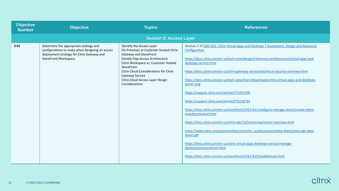| <b>Objective</b><br><b>Number</b> | <b>Objective</b>                                                                                                                                                 | <b>Topics</b>                                                                                                                                                                                                                                                                                                         | <b>References</b>                                                                                                                                                                                                                                                                                                                                                                                                                                                                                                                                                                                                                                                                                                                                                                                                                                                                                                                                                                                                               |
|-----------------------------------|------------------------------------------------------------------------------------------------------------------------------------------------------------------|-----------------------------------------------------------------------------------------------------------------------------------------------------------------------------------------------------------------------------------------------------------------------------------------------------------------------|---------------------------------------------------------------------------------------------------------------------------------------------------------------------------------------------------------------------------------------------------------------------------------------------------------------------------------------------------------------------------------------------------------------------------------------------------------------------------------------------------------------------------------------------------------------------------------------------------------------------------------------------------------------------------------------------------------------------------------------------------------------------------------------------------------------------------------------------------------------------------------------------------------------------------------------------------------------------------------------------------------------------------------|
|                                   |                                                                                                                                                                  | <b>Section 3: Access Layer</b>                                                                                                                                                                                                                                                                                        |                                                                                                                                                                                                                                                                                                                                                                                                                                                                                                                                                                                                                                                                                                                                                                                                                                                                                                                                                                                                                                 |
| 3.01                              | Determine the appropriate settings and<br>configurations to make when designing an access<br>deployment strategy for Citrix Gateway and<br>StoreFront/Workspace. | Identify the Access Layer<br>On-Premises or Customer Hosted Citrix<br>Gateway and StoreFront<br>Double-Hop Access Architecture<br>Citrix Workspace vs. Customer Hosted<br>StoreFront<br><b>Citrix Cloud Considerations for Citrix</b><br><b>Gateway Service</b><br>Citrix Cloud Access Layer Design<br>Considerations | Module 3 of CWS-415: Citrix Virtual Apps and Desktops 7 Assessment, Design and Advanced<br>Configuration<br>https://docs.citrix.com/en-us/tech-zone/design/reference-architectures/virtual-apps-and-<br>desktops-service.html<br>https://docs.citrix.com/en-us/citrix-gateway-service/technical-security-overview.html<br>https://docs.citrix.com/en-us/tech-zone/learn/downloads/citrix-virtual-apps-and-desktops-<br>poster.png<br>https://support.citrix.com/article/CTX201290<br>https://support.citrix.com/article/CTX218743<br>https://docs.citrix.com/en-us/storefront/1912-ltsr/configure-manage-stores/create-store-<br>unauthenticated.html<br>https://docs.citrix.com/en-us/citrix-adc/13/clustering/cluster-overview.html<br>https://www.citrix.com/content/dam/citrix/en_us/documents/data-sheet/citrix-adc-data-<br>sheet.pdf<br>https://docs.citrix.com/en-us/citrix-virtual-apps-desktops-service/manage-<br>deployment/storefront.html<br>https://docs.citrix.com/en-us/storefront/1912-ltsr/troubleshoot.html |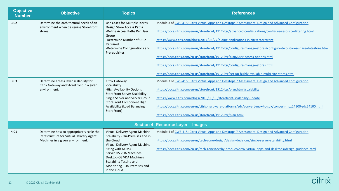| <b>Objective</b><br><b>Number</b> | <b>Objective</b>                                                                                                          | <b>Topics</b>                                                                                                                                                                                                                                                                | <b>References</b>                                                                                                                                                                                                                                                                                                                                                                                                                                                                                                                                                                                                                                                                                             |
|-----------------------------------|---------------------------------------------------------------------------------------------------------------------------|------------------------------------------------------------------------------------------------------------------------------------------------------------------------------------------------------------------------------------------------------------------------------|---------------------------------------------------------------------------------------------------------------------------------------------------------------------------------------------------------------------------------------------------------------------------------------------------------------------------------------------------------------------------------------------------------------------------------------------------------------------------------------------------------------------------------------------------------------------------------------------------------------------------------------------------------------------------------------------------------------|
| 3.02                              | Determine the architectural needs of an<br>environment when designing StoreFront<br>stores.                               | Use Cases for Multiple Stores<br>Design Store Access Paths<br>-Define Access Paths Per User<br>Group<br>-Determine Number of URLs<br>Required<br>-Determine Configurations and<br>Prerequisites                                                                              | Module 3 of CWS-415: Citrix Virtual Apps and Desktops 7 Assessment, Design and Advanced Configuration<br>https://docs.citrix.com/en-us/storefront/1912-ltsr/advanced-configurations/configure-resource-filtering.html<br>https://www.citrix.com/blogs/2014/03/27/hiding-applications-in-citrix-storefront<br>https://docs.citrix.com/en-us/storefront/1912-ltsr/configure-manage-stores/configure-two-stores-share-datastore.html<br>https://docs.citrix.com/en-us/storefront/1912-ltsr/plan/user-access-options.html<br>https://docs.citrix.com/en-us/storefront/1912-ltsr/configure-manage-stores.html<br>https://docs.citrix.com/en-us/storefront/1912-ltsr/set-up-highly-available-multi-site-stores.html |
| 3.03                              | Determine access layer scalability for<br>Citrix Gateway and StoreFront in a given<br>environment.                        | Citrix Gateway<br>-Scalability<br>-High Availability Options<br>StoreFront Server Scalability -<br>Single Server and Server Group<br><b>StoreFront Component High</b><br><b>Availability (Load Balancing</b><br>StoreFront)                                                  | Module 3 of CWS-415: Citrix Virtual Apps and Desktops 7 Assessment, Design and Advanced Configuration<br>https://docs.citrix.com/en-us/storefront/1912-ltsr/plan.html#scalability<br>https://www.citrix.com/blogs/2015/06/30/storefront-scalability-update<br>https://docs.citrix.com/en-us/citrix-hardware-platforms/sdx/convert-mpx-to-sdx/convert-mpx24100-sdx24100.html<br>https://docs.citrix.com/en-us/storefront/1912-ltsr/plan.html                                                                                                                                                                                                                                                                   |
|                                   |                                                                                                                           |                                                                                                                                                                                                                                                                              | <b>Section 4: Resource Layer - Images</b>                                                                                                                                                                                                                                                                                                                                                                                                                                                                                                                                                                                                                                                                     |
| 4.01                              | Determine how to appropriately scale the<br>infrastructure for Virtual Delivery Agent<br>Machines in a given environment. | Virtual Delivery Agent Machine<br>Scalability - On-Premises and in<br>the Cloud<br>Virtual Delivery Agent Machine<br>Sizing with NUMA<br>Server OS VDA Machines<br>Desktop OS VDA Machines<br><b>Scalability Testing and</b><br>Monitoring - On-Premises and<br>in the Cloud | Module 4 of CWS-415: Citrix Virtual Apps and Desktops 7 Assessment, Design and Advanced Configuration<br>https://docs.citrix.com/en-us/tech-zone/design/design-decisions/single-server-scalability.html<br>https://docs.citrix.com/en-us/tech-zone/toc/by-product/citrix-virtual-apps-and-desktops/design-guidance.html                                                                                                                                                                                                                                                                                                                                                                                       |

| citrix |  |
|--------|--|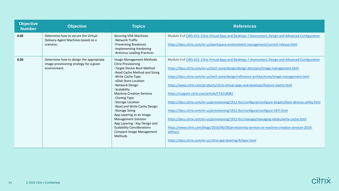| <b>Objective</b><br><b>Number</b> | <b>Objective</b>                                                                                   | <b>Topics</b>                                                                                                                                                                                                                                                                                                                                                                                                                                                                                              | <b>References</b>                                                                                                                                                                                                                                                                                                                                                                                                                                                                                                                                                                                                                                                                                                                                                                                                                                                                                                            |
|-----------------------------------|----------------------------------------------------------------------------------------------------|------------------------------------------------------------------------------------------------------------------------------------------------------------------------------------------------------------------------------------------------------------------------------------------------------------------------------------------------------------------------------------------------------------------------------------------------------------------------------------------------------------|------------------------------------------------------------------------------------------------------------------------------------------------------------------------------------------------------------------------------------------------------------------------------------------------------------------------------------------------------------------------------------------------------------------------------------------------------------------------------------------------------------------------------------------------------------------------------------------------------------------------------------------------------------------------------------------------------------------------------------------------------------------------------------------------------------------------------------------------------------------------------------------------------------------------------|
| 4.02                              | Determine how to secure the Virtual<br>Delivery Agent Machines based on a<br>scenario.             | <b>Securing VDA Machines</b><br>-Network Traffic<br>-Preventing Breakouts<br>-Implementing Hardening<br>-Antivirus Leading Practices                                                                                                                                                                                                                                                                                                                                                                       | Module 4 of CWS-415: Citrix Virtual Apps and Desktops 7 Assessment, Design and Advanced Configuration<br>https://docs.citrix.com/en-us/workspace-environment-management/current-release.html                                                                                                                                                                                                                                                                                                                                                                                                                                                                                                                                                                                                                                                                                                                                 |
| 4.03                              | Determine how to design the appropriate<br>image provisioning strategy for a given<br>environment. | Image Management Methods<br><b>Citrix Provisioning</b><br>-Target Device Boot Method<br>-Read Cache Method and Sizing<br>-Write Cache Type<br>-vDisk Store Location<br>-Network Design<br>-Scalability<br><b>Machine Creation Services</b><br>-Cloning Type<br>-Storage Location<br>-Read and Write Cache Design<br>-Storage Sizing<br>App Layering as an Image<br><b>Management Solution</b><br>App Layering - Key Design and<br><b>Scalability Considerations</b><br>Compare Image Management<br>Methods | Module 4 of CWS-415: Citrix Virtual Apps and Desktops 7 Assessment, Design and Advanced Configuration<br>https://docs.citrix.com/en-us/tech-zone/design/design-decisions/image-management.html<br>https://docs.citrix.com/en-us/tech-zone/design/reference-architectures/image-management.html<br>https://www.citrix.com/products/citrix-virtual-apps-and-desktops/feature-matrix.html<br>https://support.citrix.com/article/CTX218082<br>https://docs.citrix.com/en-us/provisioning/1912-ltsr/configure/configure-targets/boot-devices-utility.html<br>https://docs.citrix.com/en-us/provisioning/1912-ltsr/configure/configure-UEFI.html<br>https://docs.citrix.com/en-us/provisioning/1912-ltsr/manage/managing-vdisks/write-cache.html<br>https://www.citrix.com/blogs/2016/06/28/provisioning-services-or-machine-creation-services-2016-<br>edition/<br>https://docs.citrix.com/en-us/citrix-app-layering/4/layer.html |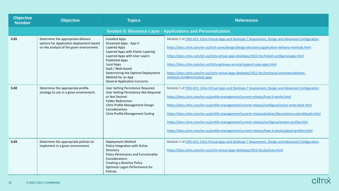| <b>Objective</b><br><b>Number</b> | <b>Objective</b>                                                                                                            | <b>Topics</b>                                                                                                                                                                                                                                                                                      | <b>References</b>                                                                                                                                                                                                                                                                                                                                                                                                                                                                                                                                                                                                   |
|-----------------------------------|-----------------------------------------------------------------------------------------------------------------------------|----------------------------------------------------------------------------------------------------------------------------------------------------------------------------------------------------------------------------------------------------------------------------------------------------|---------------------------------------------------------------------------------------------------------------------------------------------------------------------------------------------------------------------------------------------------------------------------------------------------------------------------------------------------------------------------------------------------------------------------------------------------------------------------------------------------------------------------------------------------------------------------------------------------------------------|
|                                   |                                                                                                                             |                                                                                                                                                                                                                                                                                                    | <b>Section 5: Resource Layer - Applications and Personalization</b>                                                                                                                                                                                                                                                                                                                                                                                                                                                                                                                                                 |
| 5.01                              | Determine the appropriate delivery<br>options for Application deployment based<br>on the analysis of the given environment. | <b>Installed Apps</b><br>Streamed Apps - App-V<br>Layered Apps<br>Layered Apps with Elastic Layering<br>Layered Apps with User Layers<br><b>Published Apps</b><br>Local Apps<br>SaaS / Web-based<br>Determining the Optimal Deployment<br>Method for an App<br><b>General Application Concerns</b> | Module 5 of CWS-415: Citrix Virtual Apps and Desktops 7 Assessment, Design and Advanced Configuration<br>https://docs.citrix.com/en-us/tech-zone/design/design-decisions/application-delivery-methods.html<br>https://docs.citrix.com/en-us/citrix-virtual-apps-desktops/1912-ltsr/install-configure/appv.html<br>https://docs.citrix.com/en-us/citrix-gateway-service/support-saas-apps.html<br>https://docs.citrix.com/en-us/citrix-virtual-apps-desktops/1912-ltsr/technical-overview/delivery-<br>methods.html#vm-hosted-apps                                                                                   |
| 5.02                              | Determine the appropriate profile<br>strategy to use in a given environment.                                                | User Setting Persistence Required<br>User Setting Persistence Not Required<br>or Not Desired<br><b>Folder Redirection</b><br>Citrix Profile Management Design<br>Considerations<br><b>Citrix Profile Management Scaling</b>                                                                        | Module 5 of CWS-415: Citrix Virtual Apps and Desktops 7 Assessment, Design and Advanced Configuration<br>https://docs.citrix.com/en-us/profile-management/current-release/how-it-works.html<br>https://docs.citrix.com/en-us/profile-management/current-release/configure/active-write-back.html<br>https://docs.citrix.com/en-us/profile-management/current-release/policies/descriptions-and-defaults.html<br>https://docs.citrix.com/en-us/profile-management/current-release/configure/stream-profiles.htm<br>https://docs.citrix.com/en-us/profile-management/current-release/how-it-works/about-profiles.html |
| 5.03                              | Determine the appropriate policies to<br>implement in a given environment.                                                  | Deployment Method<br>Policy Integration with Active<br>Directory<br>Policy Permissions and Functionality<br>Considerations<br>Creating a Baseline Policy<br>Optimize Logon Performance for<br><b>Policies</b>                                                                                      | Module 5 of CWS-415: Citrix Virtual Apps and Desktops 7 Assessment, Design and Advanced Configuration<br>https://docs.citrix.com/en-us/citrix-virtual-apps-desktops/1912-ltsr/policies.html                                                                                                                                                                                                                                                                                                                                                                                                                         |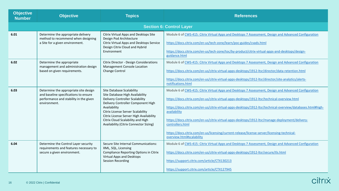| <b>Objective</b><br><b>Number</b> | <b>Objective</b>                                                                                                                         | <b>Topics</b>                                                                                                                                                                                                                                                                                                               | <b>References</b>                                                                                                                                                                                                                                                                                                                                                                                                                                                                                                                                                                         |
|-----------------------------------|------------------------------------------------------------------------------------------------------------------------------------------|-----------------------------------------------------------------------------------------------------------------------------------------------------------------------------------------------------------------------------------------------------------------------------------------------------------------------------|-------------------------------------------------------------------------------------------------------------------------------------------------------------------------------------------------------------------------------------------------------------------------------------------------------------------------------------------------------------------------------------------------------------------------------------------------------------------------------------------------------------------------------------------------------------------------------------------|
|                                   |                                                                                                                                          |                                                                                                                                                                                                                                                                                                                             | <b>Section 6: Control Layer</b>                                                                                                                                                                                                                                                                                                                                                                                                                                                                                                                                                           |
| 6.01                              | Determine the appropriate delivery<br>method to recommend when designing<br>a Site for a given environment.                              | Citrix Virtual Apps and Desktops Site<br>Design Pod Architecture<br>Citrix Virtual Apps and Desktops Service<br>Design Citrix Cloud and Hybrid<br>Environment                                                                                                                                                               | Module 6 of CWS-415: Citrix Virtual Apps and Desktops 7 Assessment, Design and Advanced Configuration<br>https://docs.citrix.com/en-us/tech-zone/learn/poc-guides/cvads.html<br>https://docs.citrix.com/en-us/tech-zone/toc/by-product/citrix-virtual-apps-and-desktops/design-<br>guidance.html                                                                                                                                                                                                                                                                                          |
| 6.02                              | Determine the appropriate<br>management and administration design<br>based on given requirements.                                        | Citrix Director - Design Considerations<br>Management Console Location<br>Change Control                                                                                                                                                                                                                                    | Module 6 of CWS-415: Citrix Virtual Apps and Desktops 7 Assessment, Design and Advanced Configuration<br>https://docs.citrix.com/en-us/citrix-virtual-apps-desktops/1912-ltsr/director/data-retention.html<br>https://docs.citrix.com/en-us/citrix-virtual-apps-desktops/1912-ltsr/director/site-analytics/alerts-<br>notifications.html                                                                                                                                                                                                                                                  |
| 6.03                              | Determine the appropriate site design<br>and baseline specifications to ensure<br>performance and stability in the given<br>environment. | Site Database Scalability<br>Site Database High Availability<br><b>Delivery Controller Scalability</b><br>Delivery Controller Component High<br>Availability<br>Citrix License Server Scalability<br>Citrix License Server High Availability<br>Citrix Cloud Scalability and High<br>Availability (Citrix Connector Sizing) | Module 6 of CWS-415: Citrix Virtual Apps and Desktops 7 Assessment, Design and Advanced Configuration<br>https://docs.citrix.com/en-us/citrix-virtual-apps-desktops/1912-ltsr/technical-overview.html<br>https://docs.citrix.com/en-us/citrix-virtual-apps-desktops/1912-ltsr/technical-overview/databases.html#high-<br>availability<br>https://docs.citrix.com/en-us/citrix-virtual-apps-desktops/1912-ltsr/manage-deployment/delivery-<br>controllers.html<br>https://docs.citrix.com/en-us/licensing/current-release/license-server/licensing-technical-<br>overview.html#scalability |
| 6.04                              | Determine the Control Layer security<br>requirements and features necessary to<br>secure a given environment.                            | Secure Site Internal Communications:<br>XML, SQL, Licensing<br><b>Compliance Reporting Options in Citrix</b><br>Virtual Apps and Desktops<br><b>Session Recording</b>                                                                                                                                                       | Module 6 of CWS-415: Citrix Virtual Apps and Desktops 7 Assessment, Design and Advanced Configuration<br>https://docs.citrix.com/en-us/citrix-virtual-apps-desktops/1912-ltsr/secure/tls.html<br>https://support.citrix.com/article/CTX130213<br>https://support.citrix.com/article/CTX127945                                                                                                                                                                                                                                                                                             |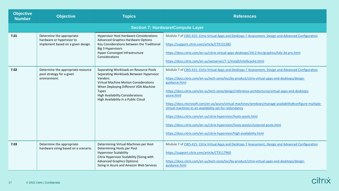| <b>Objective</b><br><b>Number</b> | <b>Objective</b>                                                                             | <b>Topics</b>                                                                                                                                                                                                                                                                          | <b>References</b>                                                                                                                                                                                                                                                                                                                                                                                                                                                                                                                                                                                                                                                                                                                                   |
|-----------------------------------|----------------------------------------------------------------------------------------------|----------------------------------------------------------------------------------------------------------------------------------------------------------------------------------------------------------------------------------------------------------------------------------------|-----------------------------------------------------------------------------------------------------------------------------------------------------------------------------------------------------------------------------------------------------------------------------------------------------------------------------------------------------------------------------------------------------------------------------------------------------------------------------------------------------------------------------------------------------------------------------------------------------------------------------------------------------------------------------------------------------------------------------------------------------|
|                                   |                                                                                              |                                                                                                                                                                                                                                                                                        | <b>Section 7: Hardware/Compute Layer</b>                                                                                                                                                                                                                                                                                                                                                                                                                                                                                                                                                                                                                                                                                                            |
| 7.01                              | Determine the appropriate<br>hardware or hypervisor to<br>implement based on a given design. | <b>Hypervisor Host Hardware Considerations</b><br><b>Advanced Graphics Hardware Options</b><br>Key Considerations between the Traditional<br><b>Big 3 Hypervisors</b><br>Hyper-Converged Infrastructure<br>Considerations                                                              | Module 7 of CWS-415: Citrix Virtual Apps and Desktops 7 Assessment, Design and Advanced Configuration<br>https://support.citrix.com/article/CTX131385<br>https://docs.citrix.com/en-us/citrix-virtual-apps-desktops/1912-ltsr/graphics/hdx-3d-pro.html<br>https://docs.citrix.com/en-us/xenserver/7-1/install/intellicache.html                                                                                                                                                                                                                                                                                                                                                                                                                     |
| 7.02                              | Determine the appropriate resource<br>pool strategy for a given<br>environment.              | Separating Workloads on Resource Pools<br>Separating Workloads Between Hypervisor<br>Vendors<br><b>Virtual Machine Motion Considerations</b><br>When Deploying Different VDA Machine<br><b>Types</b><br><b>High Availability Considerations</b><br>High Availability in a Public Cloud | Module 7 of CWS-415: Citrix Virtual Apps and Desktops 7 Assessment, Design and Advanced Configuration<br>https://docs.citrix.com/en-us/tech-zone/toc/by-product/citrix-virtual-apps-and-desktops/design-<br>guidance.html<br>https://docs.citrix.com/en-us/tech-zone/design/reference-architectures/virtual-apps-and-desktops-<br>azure.html<br>https://docs.microsoft.com/en-us/azure/virtual-machines/windows/manage-availability#configure-multiple-<br>virtual-machines-in-an-availability-set-for-redundancy<br>https://docs.citrix.com/en-us/citrix-hypervisor/hosts-pools.html<br>https://docs.citrix.com/en-us/citrix-hypervisor/hosts-pools/clustered-pools.html<br>https://docs.citrix.com/en-us/citrix-hypervisor/high-availability.html |
| 7.03                              | Determine the appropriate<br>hardware sizing based on a scenario.                            | Determining Virtual Machines per Host<br>Determining Hosts per Pool<br><b>Hypervisor Scalability</b><br>Citrix Hypervisor Scalability (Sizing with<br><b>Advanced Graphics Options)</b><br>Sizing in Azure and Amazon Web Services                                                     | Module 7 of CWS-415: Citrix Virtual Apps and Desktops 7 Assessment, Design and Advanced Configuration<br>https://support.citrix.com/article/CTX117960<br>https://docs.citrix.com/en-us/tech-zone/toc/by-product/citrix-virtual-apps-and-desktops/design-<br>guidance.html                                                                                                                                                                                                                                                                                                                                                                                                                                                                           |

| citrix |  |
|--------|--|
|        |  |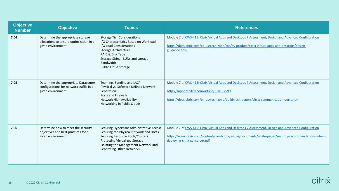| <b>Objective</b><br><b>Number</b> | <b>Objective</b>                                                                                      | <b>Topics</b>                                                                                                                                                                                                                                 | <b>References</b>                                                                                                                                                                                                                                 |
|-----------------------------------|-------------------------------------------------------------------------------------------------------|-----------------------------------------------------------------------------------------------------------------------------------------------------------------------------------------------------------------------------------------------|---------------------------------------------------------------------------------------------------------------------------------------------------------------------------------------------------------------------------------------------------|
| 7.04                              | Determine the appropriate storage<br>allocations to ensure optimization in a<br>given environment.    | <b>Storage Tier Considerations</b><br>I/O Characteristics Based on Workload<br>I/O Load Considerations<br>Storage Architecture<br>RAID & Disk Type<br>Storage Sizing - LUNs and storage<br>Bandwidth<br><b>Public Cloud Storage</b>           | Module 7 of CWS-415: Citrix Virtual Apps and Desktops 7 Assessment, Design and Advanced Configuration<br>https://docs.citrix.com/en-us/tech-zone/toc/by-product/citrix-virtual-apps-and-desktops/design-<br>guidance.html                         |
| 7.05                              | Determine the appropriate Datacenter<br>configurations for network traffic in a<br>given environment. | Teaming, Bonding and LACP<br>Physical vs. Software Defined Network<br>Separation<br>Ports and Firewalls<br>Network High Availability<br>Networking in Public Clouds                                                                           | Module 7 of CWS-415: Citrix Virtual Apps and Desktops 7 Assessment, Design and Advanced Configuration<br>http://support.citrix.com/article/CTX137599<br>https://docs.citrix.com/en-us/tech-zone/build/tech-papers/citrix-communication-ports.html |
| 7.06                              | Determine how to meet the security<br>objectives and best practices for a<br>given environment.       | Securing Hypervisor Administrative Access<br>Securing the Physical Network and Hosts<br>Securing Resource Pools/Clusters<br><b>Protecting Virtualized Storage</b><br>Isolating the Management Network and<br><b>Separating Other Networks</b> | Module 7 of CWS-415: Citrix Virtual Apps and Desktops 7 Assessment, Design and Advanced Configuration<br>https://www.citrix.com/content/dam/citrix/en_us/documents/white-paper/security-recommendations-when-<br>deploying-citrix-xenserver.pdf   |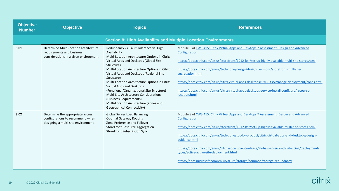| <b>Objective</b><br><b>Number</b> | <b>Objective</b>                                                                                             | <b>Topics</b>                                                                                                                                                                                                                                                                                                                                                                                                                                                                                                                                        | <b>References</b>                                                                                                                                                                                                                                                                                                                                                                                                                                                                                                                                              |
|-----------------------------------|--------------------------------------------------------------------------------------------------------------|------------------------------------------------------------------------------------------------------------------------------------------------------------------------------------------------------------------------------------------------------------------------------------------------------------------------------------------------------------------------------------------------------------------------------------------------------------------------------------------------------------------------------------------------------|----------------------------------------------------------------------------------------------------------------------------------------------------------------------------------------------------------------------------------------------------------------------------------------------------------------------------------------------------------------------------------------------------------------------------------------------------------------------------------------------------------------------------------------------------------------|
|                                   |                                                                                                              | <b>Section 8: High Availability and Multiple Location Environments</b>                                                                                                                                                                                                                                                                                                                                                                                                                                                                               |                                                                                                                                                                                                                                                                                                                                                                                                                                                                                                                                                                |
| 8.01                              | Determine Multi-location architecture<br>requirements and business<br>considerations in a given environment. | Redundancy vs. Fault Tolerance vs. High<br>Availability<br>Multi-Location Architecture Options in Citrix<br>Virtual Apps and Desktops (Global Site<br>Structure)<br>Multi-Location Architecture Options in Citrix<br>Virtual Apps and Desktops (Regional Site<br>Structure)<br>Multi-Location Architecture Options in Citrix<br>Virtual Apps and Desktops<br>(Functional/Organizational Site Structure)<br>Multi-Site Architecture Considerations<br>(Business Requirements)<br>Multi-Location Architecture (Zones and<br>Geographical Connectivity) | Module 8 of CWS-415: Citrix Virtual Apps and Desktops 7 Assessment, Design and Advanced<br>Configuration<br>https://docs.citrix.com/en-us/storefront/1912-ltsr/set-up-highly-available-multi-site-stores.html<br>https://docs.citrix.com/en-us/tech-zone/design/design-decisions/storefront-multisite-<br>aggregation.html<br>https://docs.citrix.com/en-us/citrix-virtual-apps-desktops/1912-ltsr/manage-deployment/zones.html<br>https://docs.citrix.com/en-us/citrix-virtual-apps-desktops-service/install-configure/resource-<br>location.html             |
| 8.02                              | Determine the appropriate access<br>configurations to recommend when<br>designing a multi-site environment.  | <b>Global Server Load Balancing</b><br><b>Optimal Gateway Routing</b><br>Zone Preference and Failover<br><b>StoreFront Resource Aggregation</b><br><b>StoreFront Subscription Sync</b>                                                                                                                                                                                                                                                                                                                                                               | Module 8 of CWS-415: Citrix Virtual Apps and Desktops 7 Assessment, Design and Advanced<br>Configuration<br>https://docs.citrix.com/en-us/storefront/1912-ltsr/set-up-highly-available-multi-site-stores.html<br>https://docs.citrix.com/en-us/tech-zone/toc/by-product/citrix-virtual-apps-and-desktops/design-<br>guidance.html<br>https://docs.citrix.com/en-us/citrix-adc/current-release/global-server-load-balancing/deployment-<br>types/active-active-site-deployment.html<br>https://docs.microsoft.com/en-us/azure/storage/common/storage-redundancy |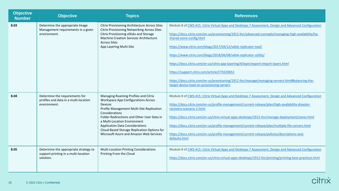| <b>Objective</b><br><b>Number</b> | <b>Objective</b>                                                                           | <b>Topics</b>                                                                                                                                                                                                                                                                                                                                                                         | <b>References</b>                                                                                                                                                                                                                                                                                                                                                                                                                                                                                                                                                                                                                                                          |
|-----------------------------------|--------------------------------------------------------------------------------------------|---------------------------------------------------------------------------------------------------------------------------------------------------------------------------------------------------------------------------------------------------------------------------------------------------------------------------------------------------------------------------------------|----------------------------------------------------------------------------------------------------------------------------------------------------------------------------------------------------------------------------------------------------------------------------------------------------------------------------------------------------------------------------------------------------------------------------------------------------------------------------------------------------------------------------------------------------------------------------------------------------------------------------------------------------------------------------|
| 8.03                              | Determine the appropriate Image<br>Management requirements in a given<br>environment.      | <b>Citrix Provisioning Architecture Across Sites</b><br><b>Citrix Provisioning Networking Across Sites</b><br>Citrix Provisioning vDisks and Storage<br>Machine Creation Services Architecture<br><b>Across Sites</b><br>App Layering Multi-Site                                                                                                                                      | Module 8 of CWS-415: Citrix Virtual Apps and Desktops 7 Assessment, Design and Advanced Configuration<br>https://docs.citrix.com/en-us/provisioning/1912-ltsr/advanced-concepts/managing-high-availability/ha-<br>shared-store-config.html<br>https://www.citrix.com/blogs/2017/04/12/vdisk-replicator-tool/<br>https://www.citrix.com/blogs/2018/06/08/vdisk-replicator-utility/<br>https://docs.citrix.com/en-us/citrix-app-layering/4/layer/export-import-layers.html<br>https://support.citrix.com/article/CTX220651<br>https://docs.citrix.com/en-us/provisioning/1912-ltsr/manage/managing-servers.html#balancing-the-<br>target-device-load-on-provisioning-servers |
| 8.04                              | Determine the requirements for<br>profiles and data in a multi-location<br>environment.    | Managing Roaming Profiles and Citrix<br><b>Workspace App Configurations Across</b><br><b>Devices</b><br>Profile Management Multi-Site Replication<br>Considerations<br>Folder Redirections and Other User Data in<br>a Multi-Location Environment<br><b>Application Data Considerations</b><br>Cloud-Based Storage Replication Options for<br>Microsoft Azure and Amazon Web Services | Module 8 of CWS-415: Citrix Virtual Apps and Desktops 7 Assessment, Design and Advanced Configuration<br>https://docs.citrix.com/en-us/profile-management/current-release/plan/high-availability-disaster-<br>recovery-scenario-2.html<br>https://docs.citrix.com/en-us/citrix-virtual-apps-desktops/1912-ltsr/manage-deployment/zones.html<br>https://docs.citrix.com/en-us/profile-management/current-release/plan/multiple-file-servers.html<br>https://docs.citrix.com/en-us/profile-management/current-release/policies/descriptions-and-<br>defaults.html                                                                                                            |
| 8.05                              | Determine the appropriate strategy to<br>support printing in a multi-location<br>solution. | <b>Multi-Location Printing Considerations</b><br>Printing From the Cloud                                                                                                                                                                                                                                                                                                              | Module 8 of CWS-415: Citrix Virtual Apps and Desktops 7 Assessment, Design and Advanced Configuration<br>https://docs.citrix.com/en-us/citrix-virtual-apps-desktops/1912-ltsr/printing/printing-best-practices.html                                                                                                                                                                                                                                                                                                                                                                                                                                                        |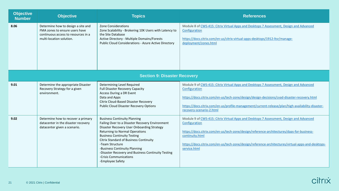| <b>Objective</b><br><b>Number</b>   | <b>Objective</b>                                                                                                                        | <b>Topics</b>                                                                                                                                                                                                                                                                                                                                                                                                         | <b>References</b>                                                                                                                                                                                                                                                                                                                             |
|-------------------------------------|-----------------------------------------------------------------------------------------------------------------------------------------|-----------------------------------------------------------------------------------------------------------------------------------------------------------------------------------------------------------------------------------------------------------------------------------------------------------------------------------------------------------------------------------------------------------------------|-----------------------------------------------------------------------------------------------------------------------------------------------------------------------------------------------------------------------------------------------------------------------------------------------------------------------------------------------|
| 8.06                                | Determine how to design a site and<br>FMA zones to ensure users have<br>continuous access to resources in a<br>multi-location solution. | <b>Zone Considerations</b><br>Zone Scalability - Brokering 10K Users with Latency to<br>the Site Database<br>Active Directory - Multiple Domains/Forests<br><b>Public Cloud Considerations - Azure Active Directory</b>                                                                                                                                                                                               | Module 8 of CWS-415: Citrix Virtual Apps and Desktops 7 Assessment, Design and Advanced<br>Configuration<br>https://docs.citrix.com/en-us/citrix-virtual-apps-desktops/1912-ltsr/manage-<br>deployment/zones.html                                                                                                                             |
| <b>Section 9: Disaster Recovery</b> |                                                                                                                                         |                                                                                                                                                                                                                                                                                                                                                                                                                       |                                                                                                                                                                                                                                                                                                                                               |
| 9.01                                | Determine the appropriate Disaster<br>Recovery Strategy for a given<br>environment.                                                     | Determining Level Required<br><b>Full Disaster Recovery Capacity</b><br>Access During a DR Event<br>Data and Apps<br>Citrix Cloud-Based Disaster Recovery<br><b>Public Cloud Disaster Recovery Options</b>                                                                                                                                                                                                            | Module 9 of CWS-415: Citrix Virtual Apps and Desktops 7 Assessment, Design and Advanced<br>Configuration<br>https://docs.citrix.com/en-us/tech-zone/design/design-decisions/cvad-disaster-recovery.html<br>https://docs.citrix.com/en-us/profile-management/current-release/plan/high-availability-disaster-<br>recovery-scenario-2.html      |
| 9.02                                | Determine how to recover a primary<br>datacenter in the disaster recovery<br>datacenter given a scenario.                               | <b>Business Continuity Planning</b><br>Failing Over to a Disaster Recovery Environment<br>Disaster Recovery User Onboarding Strategy<br><b>Returning to Normal Operations</b><br><b>Business Continuity Testing</b><br>Citrix Standard of Business Continuity<br>-Team Structure<br>-Business Continuity Planning<br>-Disaster Recovery and Business Continuity Testing<br>-Crisis Communications<br>-Employee Safety | Module 9 of CWS-415: Citrix Virtual Apps and Desktops 7 Assessment, Design and Advanced<br>Configuration<br>https://docs.citrix.com/en-us/tech-zone/design/reference-architectures/daas-for-business-<br>continuity.html<br>https://docs.citrix.com/en-us/tech-zone/design/reference-architectures/virtual-apps-and-desktops-<br>service.html |